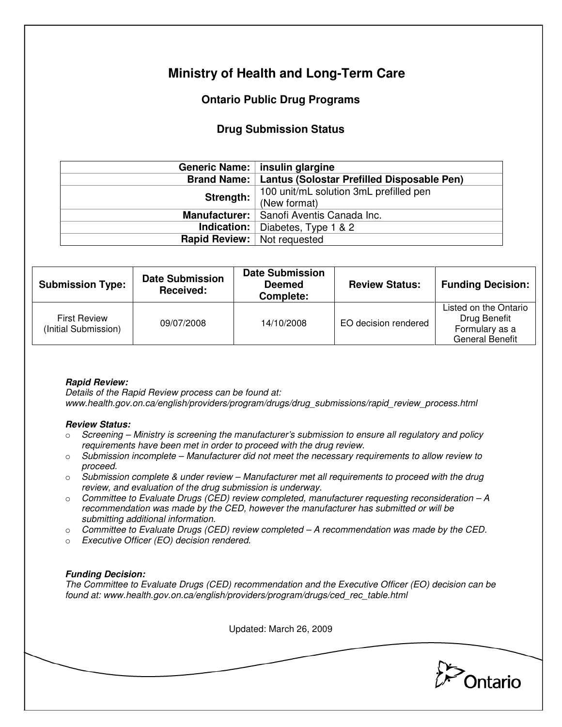# **Ministry of Health and Long-Term Care**

## **Ontario Public Drug Programs**

### **Drug Submission Status**

|                                      | Generic Name:   insulin glargine                         |  |
|--------------------------------------|----------------------------------------------------------|--|
|                                      | Brand Name:   Lantus (Solostar Prefilled Disposable Pen) |  |
| Strength:                            | 100 unit/mL solution 3mL prefilled pen                   |  |
|                                      | (New format)                                             |  |
|                                      | Manufacturer:   Sanofi Aventis Canada Inc.               |  |
|                                      | <b>Indication:</b> Diabetes, Type 1 $\&$ 2               |  |
| <b>Rapid Review:</b>   Not requested |                                                          |  |

| <b>Submission Type:</b>                     | <b>Date Submission</b><br>Received: | <b>Date Submission</b><br><b>Deemed</b><br>Complete: | <b>Review Status:</b> | <b>Funding Decision:</b>                                                          |
|---------------------------------------------|-------------------------------------|------------------------------------------------------|-----------------------|-----------------------------------------------------------------------------------|
| <b>First Review</b><br>(Initial Submission) | 09/07/2008                          | 14/10/2008                                           | EO decision rendered  | Listed on the Ontario<br>Drug Benefit<br>Formulary as a<br><b>General Benefit</b> |

### **Rapid Review:**

Details of the Rapid Review process can be found at: www.health.gov.on.ca/english/providers/program/drugs/drug\_submissions/rapid\_review\_process.html

#### **Review Status:**

- $\circ$  Screening Ministry is screening the manufacturer's submission to ensure all regulatory and policy requirements have been met in order to proceed with the drug review.
- $\circ$  Submission incomplete Manufacturer did not meet the necessary requirements to allow review to proceed.
- $\circ$  Submission complete & under review Manufacturer met all requirements to proceed with the drug review, and evaluation of the drug submission is underway.
- $\circ$  Committee to Evaluate Drugs (CED) review completed, manufacturer requesting reconsideration  $-A$ recommendation was made by the CED, however the manufacturer has submitted or will be submitting additional information.
- $\circ$  Committee to Evaluate Drugs (CED) review completed A recommendation was made by the CED.
- o Executive Officer (EO) decision rendered.

### **Funding Decision:**

The Committee to Evaluate Drugs (CED) recommendation and the Executive Officer (EO) decision can be found at: www.health.gov.on.ca/english/providers/program/drugs/ced\_rec\_table.html

Updated: March 26, 2009

Ontario